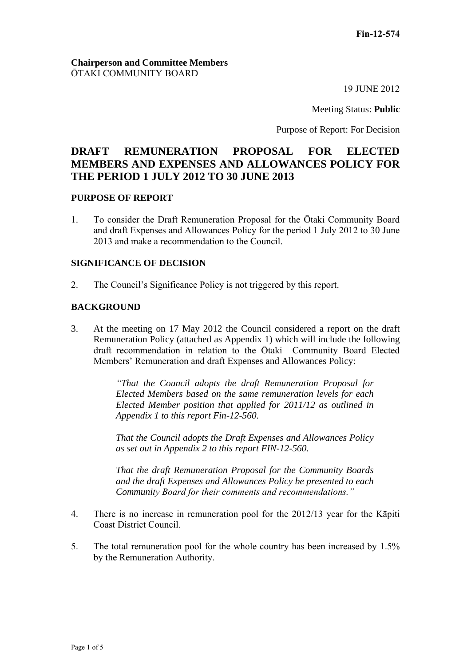### **Chairperson and Committee Members** ŌTAKI COMMUNITY BOARD

19 JUNE 2012

Meeting Status: **Public**

Purpose of Report: For Decision

# **DRAFT REMUNERATION PROPOSAL FOR ELECTED MEMBERS AND EXPENSES AND ALLOWANCES POLICY FOR THE PERIOD 1 JULY 2012 TO 30 JUNE 2013**

#### **PURPOSE OF REPORT**

1. To consider the Draft Remuneration Proposal for the Ōtaki Community Board and draft Expenses and Allowances Policy for the period 1 July 2012 to 30 June 2013 and make a recommendation to the Council.

#### **SIGNIFICANCE OF DECISION**

2. The Council's Significance Policy is not triggered by this report.

#### **BACKGROUND**

3. At the meeting on 17 May 2012 the Council considered a report on the draft Remuneration Policy (attached as Appendix 1) which will include the following draft recommendation in relation to the Ōtaki Community Board Elected Members' Remuneration and draft Expenses and Allowances Policy:

> *"That the Council adopts the draft Remuneration Proposal for Elected Members based on the same remuneration levels for each Elected Member position that applied for 2011/12 as outlined in Appendix 1 to this report Fin-12-560.*

> *That the Council adopts the Draft Expenses and Allowances Policy as set out in Appendix 2 to this report FIN-12-560.*

> *That the draft Remuneration Proposal for the Community Boards and the draft Expenses and Allowances Policy be presented to each Community Board for their comments and recommendations."*

- 4. There is no increase in remuneration pool for the 2012/13 year for the Kāpiti Coast District Council.
- 5. The total remuneration pool for the whole country has been increased by 1.5% by the Remuneration Authority.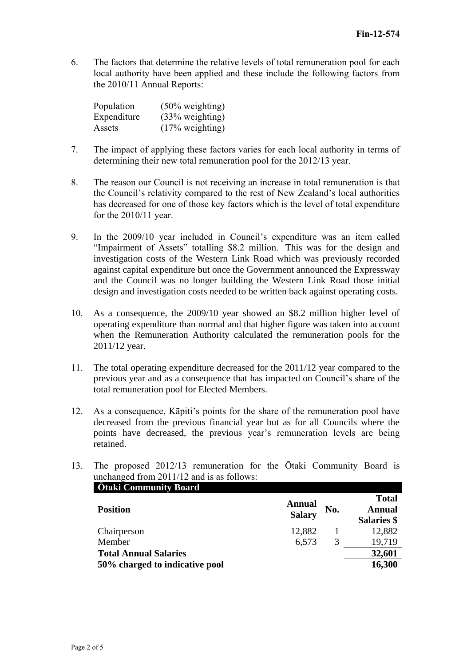6. The factors that determine the relative levels of total remuneration pool for each local authority have been applied and these include the following factors from the 2010/11 Annual Reports:

| Population  | $(50\% \text{ weighting})$ |
|-------------|----------------------------|
| Expenditure | $(33% \text{ weighting})$  |
| Assets      | $(17\% \text{ weighting})$ |

- 7. The impact of applying these factors varies for each local authority in terms of determining their new total remuneration pool for the 2012/13 year.
- 8. The reason our Council is not receiving an increase in total remuneration is that the Council's relativity compared to the rest of New Zealand's local authorities has decreased for one of those key factors which is the level of total expenditure for the 2010/11 year.
- 9. In the 2009/10 year included in Council's expenditure was an item called "Impairment of Assets" totalling \$8.2 million. This was for the design and investigation costs of the Western Link Road which was previously recorded against capital expenditure but once the Government announced the Expressway and the Council was no longer building the Western Link Road those initial design and investigation costs needed to be written back against operating costs.
- 10. As a consequence, the 2009/10 year showed an \$8.2 million higher level of operating expenditure than normal and that higher figure was taken into account when the Remuneration Authority calculated the remuneration pools for the 2011/12 year.
- 11. The total operating expenditure decreased for the 2011/12 year compared to the previous year and as a consequence that has impacted on Council's share of the total remuneration pool for Elected Members.
- 12. As a consequence, Kāpiti's points for the share of the remuneration pool have decreased from the previous financial year but as for all Councils where the points have decreased, the previous year's remuneration levels are being retained.
- 13. The proposed 2012/13 remuneration for the Ōtaki Community Board is unchanged from 2011/12 and is as follows:

| <b>Otaki Community Board</b>   |                                |     |                                              |
|--------------------------------|--------------------------------|-----|----------------------------------------------|
| <b>Position</b>                | <b>Annual</b><br><b>Salary</b> | No. | <b>Total</b><br><b>Annual</b><br>Salaries \$ |
| Chairperson                    | 12,882                         |     | 12,882                                       |
| Member                         | 6,573                          | 3   | 19,719                                       |
| <b>Total Annual Salaries</b>   |                                |     | 32,601                                       |
| 50% charged to indicative pool |                                |     | 16,300                                       |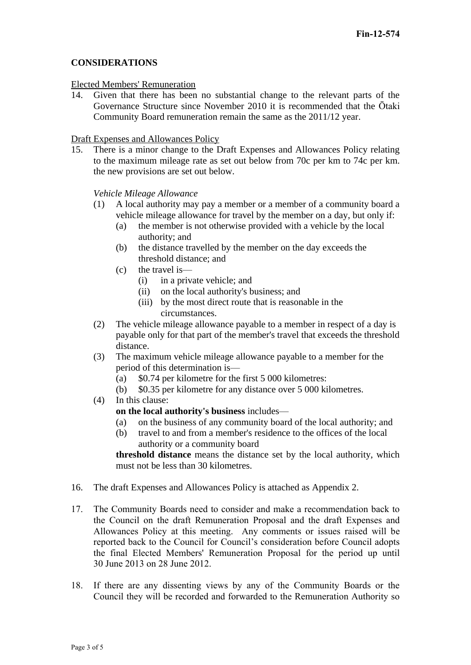### **CONSIDERATIONS**

#### Elected Members' Remuneration

14. Given that there has been no substantial change to the relevant parts of the Governance Structure since November 2010 it is recommended that the Ōtaki Community Board remuneration remain the same as the 2011/12 year.

#### Draft Expenses and Allowances Policy

15. There is a minor change to the Draft Expenses and Allowances Policy relating to the maximum mileage rate as set out below from 70c per km to 74c per km. the new provisions are set out below.

*Vehicle Mileage Allowance*

- (1) A local authority may pay a member or a member of a community board a vehicle mileage allowance for travel by the member on a day, but only if:
	- (a) the member is not otherwise provided with a vehicle by the local authority; and
	- (b) the distance travelled by the member on the day exceeds the threshold distance; and
	- (c) the travel is—
		- (i) in a private vehicle; and
		- (ii) on the local authority's business; and
		- (iii) by the most direct route that is reasonable in the circumstances.
- (2) The vehicle mileage allowance payable to a member in respect of a day is payable only for that part of the member's travel that exceeds the threshold distance.
- (3) The maximum vehicle mileage allowance payable to a member for the period of this determination is—
	- (a) \$0.74 per kilometre for the first 5 000 kilometres:
	- (b) \$0.35 per kilometre for any distance over 5 000 kilometres.
- (4) In this clause:
	- **on the local authority's business** includes—
	- (a) on the business of any community board of the local authority; and
	- (b) travel to and from a member's residence to the offices of the local authority or a community board

**threshold distance** means the distance set by the local authority, which must not be less than 30 kilometres.

- 16. The draft Expenses and Allowances Policy is attached as Appendix 2.
- 17. The Community Boards need to consider and make a recommendation back to the Council on the draft Remuneration Proposal and the draft Expenses and Allowances Policy at this meeting. Any comments or issues raised will be reported back to the Council for Council's consideration before Council adopts the final Elected Members' Remuneration Proposal for the period up until 30 June 2013 on 28 June 2012.
- 18. If there are any dissenting views by any of the Community Boards or the Council they will be recorded and forwarded to the Remuneration Authority so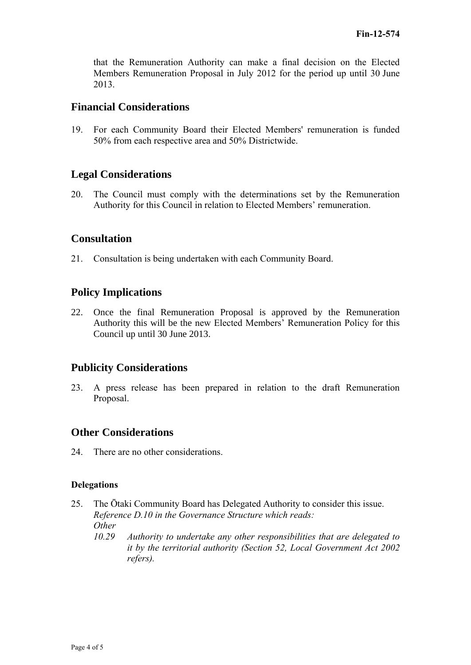that the Remuneration Authority can make a final decision on the Elected Members Remuneration Proposal in July 2012 for the period up until 30 June 2013.

# **Financial Considerations**

19. For each Community Board their Elected Members' remuneration is funded 50% from each respective area and 50% Districtwide.

# **Legal Considerations**

20. The Council must comply with the determinations set by the Remuneration Authority for this Council in relation to Elected Members' remuneration.

## **Consultation**

21. Consultation is being undertaken with each Community Board.

# **Policy Implications**

22. Once the final Remuneration Proposal is approved by the Remuneration Authority this will be the new Elected Members' Remuneration Policy for this Council up until 30 June 2013.

# **Publicity Considerations**

23. A press release has been prepared in relation to the draft Remuneration Proposal.

### **Other Considerations**

24. There are no other considerations.

#### **Delegations**

- 25. The Ōtaki Community Board has Delegated Authority to consider this issue. *Reference D.10 in the Governance Structure which reads: Other*
	- *10.29 Authority to undertake any other responsibilities that are delegated to it by the territorial authority (Section 52, Local Government Act 2002 refers).*